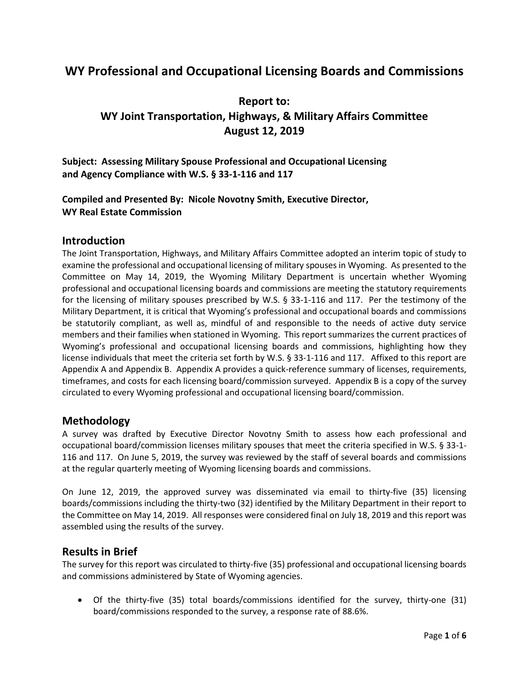## **WY Professional and Occupational Licensing Boards and Commissions**

### **Report to: WY Joint Transportation, Highways, & Military Affairs Committee August 12, 2019**

**Subject: Assessing Military Spouse Professional and Occupational Licensing and Agency Compliance with W.S. § 33-1-116 and 117**

#### **Compiled and Presented By: Nicole Novotny Smith, Executive Director, WY Real Estate Commission**

#### **Introduction**

The Joint Transportation, Highways, and Military Affairs Committee adopted an interim topic of study to examine the professional and occupational licensing of military spouses in Wyoming. As presented to the Committee on May 14, 2019, the Wyoming Military Department is uncertain whether Wyoming professional and occupational licensing boards and commissions are meeting the statutory requirements for the licensing of military spouses prescribed by W.S. § 33-1-116 and 117. Per the testimony of the Military Department, it is critical that Wyoming's professional and occupational boards and commissions be statutorily compliant, as well as, mindful of and responsible to the needs of active duty service members and their families when stationed in Wyoming. This report summarizes the current practices of Wyoming's professional and occupational licensing boards and commissions, highlighting how they license individuals that meet the criteria set forth by W.S. § 33-1-116 and 117. Affixed to this report are Appendix A and Appendix B. Appendix A provides a quick-reference summary of licenses, requirements, timeframes, and costs for each licensing board/commission surveyed. Appendix B is a copy of the survey circulated to every Wyoming professional and occupational licensing board/commission.

#### **Methodology**

A survey was drafted by Executive Director Novotny Smith to assess how each professional and occupational board/commission licenses military spouses that meet the criteria specified in W.S. § 33-1- 116 and 117. On June 5, 2019, the survey was reviewed by the staff of several boards and commissions at the regular quarterly meeting of Wyoming licensing boards and commissions.

On June 12, 2019, the approved survey was disseminated via email to thirty-five (35) licensing boards/commissions including the thirty-two (32) identified by the Military Department in their report to the Committee on May 14, 2019. All responses were considered final on July 18, 2019 and this report was assembled using the results of the survey.

#### **Results in Brief**

The survey for this report was circulated to thirty-five (35) professional and occupational licensing boards and commissions administered by State of Wyoming agencies.

• Of the thirty-five (35) total boards/commissions identified for the survey, thirty-one (31) board/commissions responded to the survey, a response rate of 88.6%.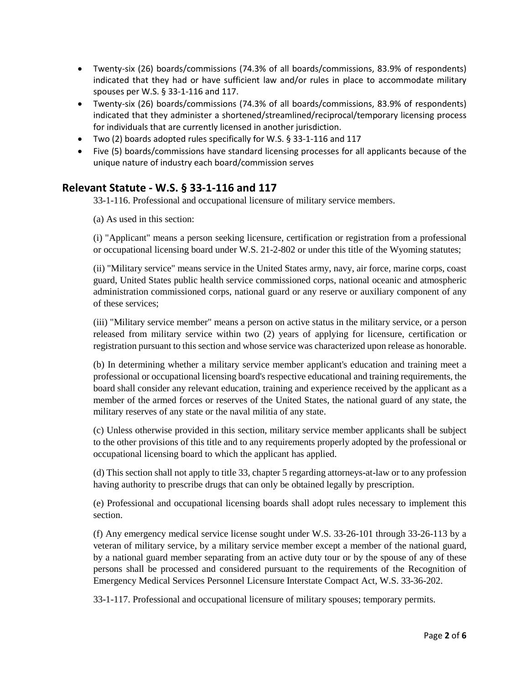- Twenty-six (26) boards/commissions (74.3% of all boards/commissions, 83.9% of respondents) indicated that they had or have sufficient law and/or rules in place to accommodate military spouses per W.S. § 33-1-116 and 117.
- Twenty-six (26) boards/commissions (74.3% of all boards/commissions, 83.9% of respondents) indicated that they administer a shortened/streamlined/reciprocal/temporary licensing process for individuals that are currently licensed in another jurisdiction.
- Two (2) boards adopted rules specifically for W.S. § 33-1-116 and 117
- Five (5) boards/commissions have standard licensing processes for all applicants because of the unique nature of industry each board/commission serves

#### **Relevant Statute - W.S. § 33-1-116 and 117**

33-1-116. Professional and occupational licensure of military service members.

(a) As used in this section:

(i) "Applicant" means a person seeking licensure, certification or registration from a professional or occupational licensing board under W.S. 21-2-802 or under this title of the Wyoming statutes;

(ii) "Military service" means service in the United States army, navy, air force, marine corps, coast guard, United States public health service commissioned corps, national oceanic and atmospheric administration commissioned corps, national guard or any reserve or auxiliary component of any of these services;

(iii) "Military service member" means a person on active status in the military service, or a person released from military service within two (2) years of applying for licensure, certification or registration pursuant to this section and whose service was characterized upon release as honorable.

(b) In determining whether a military service member applicant's education and training meet a professional or occupational licensing board's respective educational and training requirements, the board shall consider any relevant education, training and experience received by the applicant as a member of the armed forces or reserves of the United States, the national guard of any state, the military reserves of any state or the naval militia of any state.

(c) Unless otherwise provided in this section, military service member applicants shall be subject to the other provisions of this title and to any requirements properly adopted by the professional or occupational licensing board to which the applicant has applied.

(d) This section shall not apply to title 33, chapter 5 regarding attorneys-at-law or to any profession having authority to prescribe drugs that can only be obtained legally by prescription.

(e) Professional and occupational licensing boards shall adopt rules necessary to implement this section.

(f) Any emergency medical service license sought under W.S. 33-26-101 through 33-26-113 by a veteran of military service, by a military service member except a member of the national guard, by a national guard member separating from an active duty tour or by the spouse of any of these persons shall be processed and considered pursuant to the requirements of the Recognition of Emergency Medical Services Personnel Licensure Interstate Compact Act, W.S. 33-36-202.

33-1-117. Professional and occupational licensure of military spouses; temporary permits.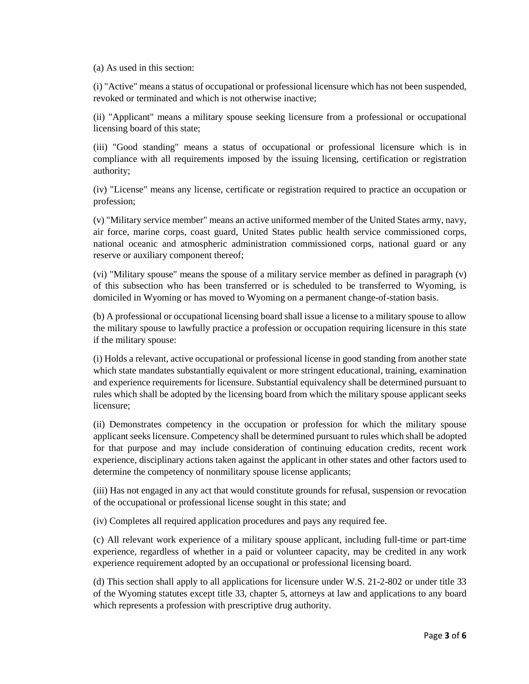(a) As used in this section:

(i) "Active" means a status of occupational or professional licensure which has not been suspended, revoked or terminated and which is not otherwise inactive;

(ii) "Applicant" means a military spouse seeking licensure from a professional or occupational licensing board of this state;

(iii) "Good standing" means a status of occupational or professional licensure which is in compliance with all requirements imposed by the issuing licensing, certification or registration authority;

(iv) "License" means any license, certificate or registration required to practice an occupation or profession;

(v) "Military service member" means an active uniformed member of the United States army, navy, air force, marine corps, coast guard, United States public health service commissioned corps, national oceanic and atmospheric administration commissioned corps, national guard or any reserve or auxiliary component thereof;

(vi) "Military spouse" means the spouse of a military service member as defined in paragraph (v) of this subsection who has been transferred or is scheduled to be transferred to Wyoming, is domiciled in Wyoming or has moved to Wyoming on a permanent change-of-station basis.

(b) A professional or occupational licensing board shall issue a license to a military spouse to allow the military spouse to lawfully practice a profession or occupation requiring licensure in this state if the military spouse:

(i) Holds a relevant, active occupational or professional license in good standing from another state which state mandates substantially equivalent or more stringent educational, training, examination and experience requirements for licensure. Substantial equivalency shall be determined pursuant to rules which shall be adopted by the licensing board from which the military spouse applicant seeks licensure;

(ii) Demonstrates competency in the occupation or profession for which the military spouse applicant seeks licensure. Competency shall be determined pursuant to rules which shall be adopted for that purpose and may include consideration of continuing education credits, recent work experience, disciplinary actions taken against the applicant in other states and other factors used to determine the competency of nonmilitary spouse license applicants;

(iii) Has not engaged in any act that would constitute grounds for refusal, suspension or revocation of the occupational or professional license sought in this state; and

(iv) Completes all required application procedures and pays any required fee.

(c) All relevant work experience of a military spouse applicant, including full-time or part-time experience, regardless of whether in a paid or volunteer capacity, may be credited in any work experience requirement adopted by an occupational or professional licensing board.

(d) This section shall apply to all applications for licensure under W.S. 21-2-802 or under title 33 of the Wyoming statutes except title 33, chapter 5, attorneys at law and applications to any board which represents a profession with prescriptive drug authority.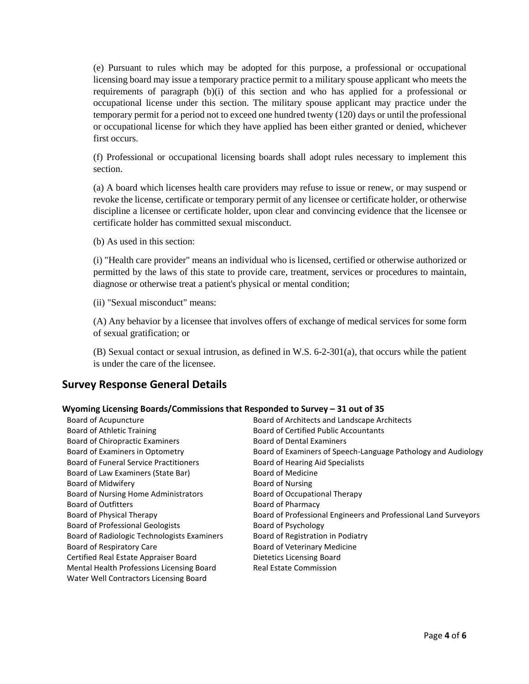(e) Pursuant to rules which may be adopted for this purpose, a professional or occupational licensing board may issue a temporary practice permit to a military spouse applicant who meets the requirements of paragraph (b)(i) of this section and who has applied for a professional or occupational license under this section. The military spouse applicant may practice under the temporary permit for a period not to exceed one hundred twenty (120) days or until the professional or occupational license for which they have applied has been either granted or denied, whichever first occurs.

(f) Professional or occupational licensing boards shall adopt rules necessary to implement this section.

(a) A board which licenses health care providers may refuse to issue or renew, or may suspend or revoke the license, certificate or temporary permit of any licensee or certificate holder, or otherwise discipline a licensee or certificate holder, upon clear and convincing evidence that the licensee or certificate holder has committed sexual misconduct.

(b) As used in this section:

(i) "Health care provider" means an individual who is licensed, certified or otherwise authorized or permitted by the laws of this state to provide care, treatment, services or procedures to maintain, diagnose or otherwise treat a patient's physical or mental condition;

(ii) "Sexual misconduct" means:

(A) Any behavior by a licensee that involves offers of exchange of medical services for some form of sexual gratification; or

(B) Sexual contact or sexual intrusion, as defined in W.S. 6-2-301(a), that occurs while the patient is under the care of the licensee.

#### **Survey Response General Details**

#### **Wyoming Licensing Boards/Commissions that Responded to Survey – 31 out of 35**

| Board of Acupuncture                          | Board of Architects and Landscape Architects                    |
|-----------------------------------------------|-----------------------------------------------------------------|
| Board of Athletic Training                    | <b>Board of Certified Public Accountants</b>                    |
| <b>Board of Chiropractic Examiners</b>        | <b>Board of Dental Examiners</b>                                |
| Board of Examiners in Optometry               | Board of Examiners of Speech-Language Pathology and Audiology   |
| <b>Board of Funeral Service Practitioners</b> | Board of Hearing Aid Specialists                                |
| Board of Law Examiners (State Bar)            | Board of Medicine                                               |
| Board of Midwifery                            | <b>Board of Nursing</b>                                         |
| Board of Nursing Home Administrators          | <b>Board of Occupational Therapy</b>                            |
| <b>Board of Outfitters</b>                    | Board of Pharmacy                                               |
| Board of Physical Therapy                     | Board of Professional Engineers and Professional Land Surveyors |
| <b>Board of Professional Geologists</b>       | Board of Psychology                                             |
| Board of Radiologic Technologists Examiners   | Board of Registration in Podiatry                               |
| Board of Respiratory Care                     | <b>Board of Veterinary Medicine</b>                             |
| Certified Real Estate Appraiser Board         | Dietetics Licensing Board                                       |
| Mental Health Professions Licensing Board     | <b>Real Estate Commission</b>                                   |
| Water Well Contractors Licensing Board        |                                                                 |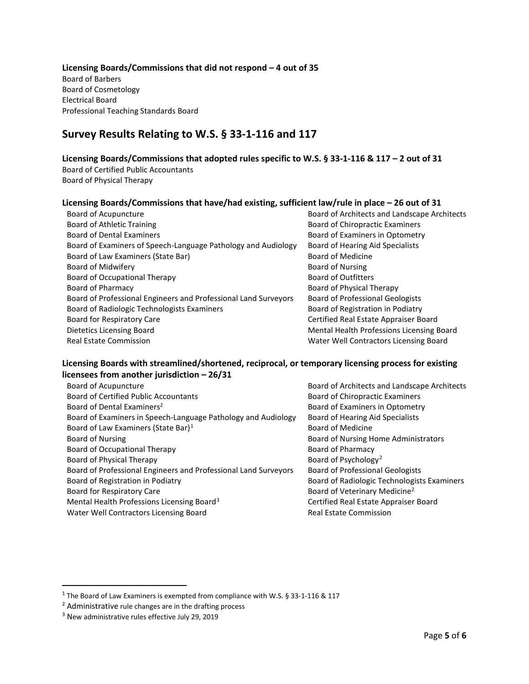#### **Licensing Boards/Commissions that did not respond – 4 out of 35**

Board of Barbers Board of Cosmetology Electrical Board Professional Teaching Standards Board

### **Survey Results Relating to W.S. § 33-1-116 and 117**

#### **Licensing Boards/Commissions that adopted rules specific to W.S. § 33-1-116 & 117 – 2 out of 31**

Board of Certified Public Accountants Board of Physical Therapy

# **Licensing Boards/Commissions that have/had existing, sufficient law/rule in place – 26 out of 31**

| Board of Acupuncture                                            | Board of Architects and Landscape Architects |
|-----------------------------------------------------------------|----------------------------------------------|
| Board of Athletic Training                                      | Board of Chiropractic Examiners              |
| <b>Board of Dental Examiners</b>                                | Board of Examiners in Optometry              |
| Board of Examiners of Speech-Language Pathology and Audiology   | Board of Hearing Aid Specialists             |
| Board of Law Examiners (State Bar)                              | <b>Board of Medicine</b>                     |
| Board of Midwifery                                              | Board of Nursing                             |
| Board of Occupational Therapy                                   | <b>Board of Outfitters</b>                   |
| Board of Pharmacy                                               | Board of Physical Therapy                    |
| Board of Professional Engineers and Professional Land Surveyors | <b>Board of Professional Geologists</b>      |
| Board of Radiologic Technologists Examiners                     | Board of Registration in Podiatry            |
| Board for Respiratory Care                                      | Certified Real Estate Appraiser Board        |
| Dietetics Licensing Board                                       | Mental Health Professions Licensing Board    |
| <b>Real Estate Commission</b>                                   | Water Well Contractors Licensing Board       |

#### **Licensing Boards with streamlined/shortened, reciprocal, or temporary licensing process for existing licensees from another jurisdiction – 26/31**

| Board of Acupuncture                                            | Board of Architects and Landscape Architects |
|-----------------------------------------------------------------|----------------------------------------------|
| <b>Board of Certified Public Accountants</b>                    | <b>Board of Chiropractic Examiners</b>       |
| Board of Dental Examiners <sup>2</sup>                          | Board of Examiners in Optometry              |
| Board of Examiners in Speech-Language Pathology and Audiology   | Board of Hearing Aid Specialists             |
| Board of Law Examiners (State Bar) <sup>1</sup>                 | <b>Board of Medicine</b>                     |
| Board of Nursing                                                | Board of Nursing Home Administrators         |
| Board of Occupational Therapy                                   | <b>Board of Pharmacy</b>                     |
| Board of Physical Therapy                                       | Board of Psychology <sup>2</sup>             |
| Board of Professional Engineers and Professional Land Surveyors | <b>Board of Professional Geologists</b>      |
| Board of Registration in Podiatry                               | Board of Radiologic Technologists Examiners  |
| Board for Respiratory Care                                      | Board of Veterinary Medicine <sup>2</sup>    |
| Mental Health Professions Licensing Board <sup>3</sup>          | Certified Real Estate Appraiser Board        |
| Water Well Contractors Licensing Board                          | <b>Real Estate Commission</b>                |
|                                                                 |                                              |

<span id="page-4-0"></span> $1$  The Board of Law Examiners is exempted from compliance with W.S. § 33-1-116 & 117

<span id="page-4-1"></span><sup>&</sup>lt;sup>2</sup> Administrative rule changes are in the drafting process

<span id="page-4-2"></span><sup>3</sup> New administrative rules effective July 29, 2019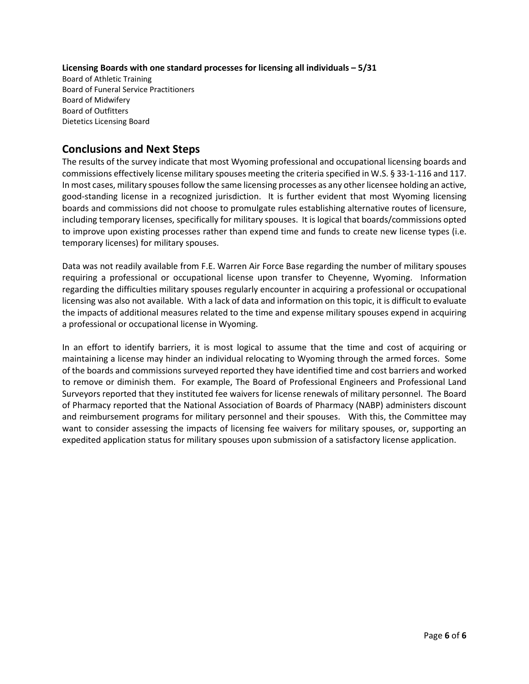#### **Licensing Boards with one standard processes for licensing all individuals – 5/31**

Board of Athletic Training Board of Funeral Service Practitioners Board of Midwifery Board of Outfitters Dietetics Licensing Board

#### **Conclusions and Next Steps**

The results of the survey indicate that most Wyoming professional and occupational licensing boards and commissions effectively license military spouses meeting the criteria specified in W.S. § 33-1-116 and 117. In most cases, military spouses follow the same licensing processes as any other licensee holding an active, good-standing license in a recognized jurisdiction. It is further evident that most Wyoming licensing boards and commissions did not choose to promulgate rules establishing alternative routes of licensure, including temporary licenses, specifically for military spouses. It is logical that boards/commissions opted to improve upon existing processes rather than expend time and funds to create new license types (i.e. temporary licenses) for military spouses.

Data was not readily available from F.E. Warren Air Force Base regarding the number of military spouses requiring a professional or occupational license upon transfer to Cheyenne, Wyoming. Information regarding the difficulties military spouses regularly encounter in acquiring a professional or occupational licensing was also not available. With a lack of data and information on this topic, it is difficult to evaluate the impacts of additional measures related to the time and expense military spouses expend in acquiring a professional or occupational license in Wyoming.

In an effort to identify barriers, it is most logical to assume that the time and cost of acquiring or maintaining a license may hinder an individual relocating to Wyoming through the armed forces. Some of the boards and commissions surveyed reported they have identified time and cost barriers and worked to remove or diminish them. For example, The Board of Professional Engineers and Professional Land Surveyors reported that they instituted fee waivers for license renewals of military personnel. The Board of Pharmacy reported that the National Association of Boards of Pharmacy (NABP) administers discount and reimbursement programs for military personnel and their spouses. With this, the Committee may want to consider assessing the impacts of licensing fee waivers for military spouses, or, supporting an expedited application status for military spouses upon submission of a satisfactory license application.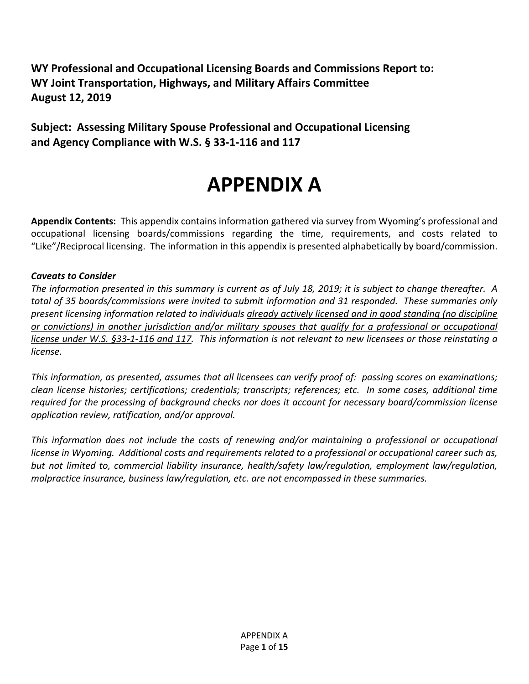**WY Professional and Occupational Licensing Boards and Commissions Report to: WY Joint Transportation, Highways, and Military Affairs Committee August 12, 2019**

**Subject: Assessing Military Spouse Professional and Occupational Licensing and Agency Compliance with W.S. § 33-1-116 and 117**

# **APPENDIX A**

**Appendix Contents:** This appendix contains information gathered via survey from Wyoming's professional and occupational licensing boards/commissions regarding the time, requirements, and costs related to "Like"/Reciprocal licensing. The information in this appendix is presented alphabetically by board/commission.

#### *Caveats to Consider*

*The information presented in this summary is current as of July 18, 2019; it is subject to change thereafter. A total of 35 boards/commissions were invited to submit information and 31 responded. These summaries only present licensing information related to individuals already actively licensed and in good standing (no discipline or convictions) in another jurisdiction and/or military spouses that qualify for a professional or occupational license under W.S. §33-1-116 and 117. This information is not relevant to new licensees or those reinstating a license.*

*This information, as presented, assumes that all licensees can verify proof of: passing scores on examinations; clean license histories; certifications; credentials; transcripts; references; etc. In some cases, additional time required for the processing of background checks nor does it account for necessary board/commission license application review, ratification, and/or approval.* 

*This information does not include the costs of renewing and/or maintaining a professional or occupational license in Wyoming. Additional costs and requirements related to a professional or occupational career such as, but not limited to, commercial liability insurance, health/safety law/regulation, employment law/regulation, malpractice insurance, business law/regulation, etc. are not encompassed in these summaries.*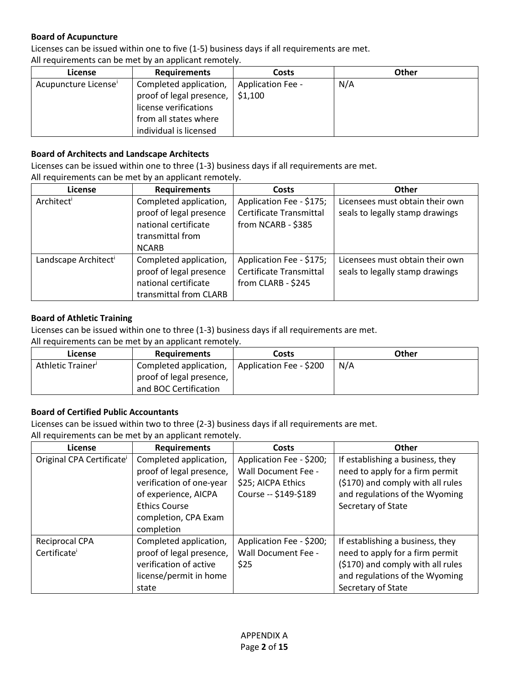#### **Board of Acupuncture**

Licenses can be issued within one to five (1-5) business days if all requirements are met.

All requirements can be met by an applicant remotely.

| License                          | <b>Requirements</b>      | <b>Costs</b>             | Other |
|----------------------------------|--------------------------|--------------------------|-------|
| Acupuncture License <sup>i</sup> | Completed application,   | <b>Application Fee -</b> | N/A   |
|                                  | proof of legal presence, | \$1,100                  |       |
|                                  | license verifications    |                          |       |
|                                  | from all states where    |                          |       |
|                                  | individual is licensed   |                          |       |

#### **Board of Architects and Landscape Architects**

Licenses can be issued within one to three (1-3) business days if all requirements are met.

All requirements can be met by an applicant remotely.

| License                          | <b>Requirements</b>     | <b>Costs</b>             | <b>Other</b>                    |
|----------------------------------|-------------------------|--------------------------|---------------------------------|
| Architect                        | Completed application,  | Application Fee - \$175; | Licensees must obtain their own |
|                                  | proof of legal presence | Certificate Transmittal  | seals to legally stamp drawings |
|                                  | national certificate    | from NCARB - \$385       |                                 |
|                                  | transmittal from        |                          |                                 |
|                                  | <b>NCARB</b>            |                          |                                 |
| Landscape Architect <sup>i</sup> | Completed application,  | Application Fee - \$175; | Licensees must obtain their own |
|                                  | proof of legal presence | Certificate Transmittal  | seals to legally stamp drawings |
|                                  | national certificate    | from CLARB - \$245       |                                 |
|                                  | transmittal from CLARB  |                          |                                 |

#### **Board of Athletic Training**

Licenses can be issued within one to three (1-3) business days if all requirements are met.

All requirements can be met by an applicant remotely.

| License          | <b>Requirements</b>      | Costs                   | Other |
|------------------|--------------------------|-------------------------|-------|
| Athletic Trainer | Completed application,   | Application Fee - \$200 | N/A   |
|                  | proof of legal presence, |                         |       |
|                  | and BOC Certification    |                         |       |

#### **Board of Certified Public Accountants**

Licenses can be issued within two to three (2-3) business days if all requirements are met.

| License                               | <b>Requirements</b>      | Costs                      | Other                             |
|---------------------------------------|--------------------------|----------------------------|-----------------------------------|
| Original CPA Certificate <sup>i</sup> | Completed application,   | Application Fee - \$200;   | If establishing a business, they  |
|                                       | proof of legal presence, | <b>Wall Document Fee -</b> | need to apply for a firm permit   |
|                                       | verification of one-year | \$25; AICPA Ethics         | (\$170) and comply with all rules |
|                                       | of experience, AICPA     | Course -- \$149-\$189      | and regulations of the Wyoming    |
|                                       | <b>Ethics Course</b>     |                            | Secretary of State                |
|                                       | completion, CPA Exam     |                            |                                   |
|                                       | completion               |                            |                                   |
| Reciprocal CPA                        | Completed application,   | Application Fee - \$200;   | If establishing a business, they  |
| Certificate                           | proof of legal presence, | <b>Wall Document Fee -</b> | need to apply for a firm permit   |
|                                       | verification of active   | \$25                       | (\$170) and comply with all rules |
|                                       | license/permit in home   |                            | and regulations of the Wyoming    |
|                                       | state                    |                            | Secretary of State                |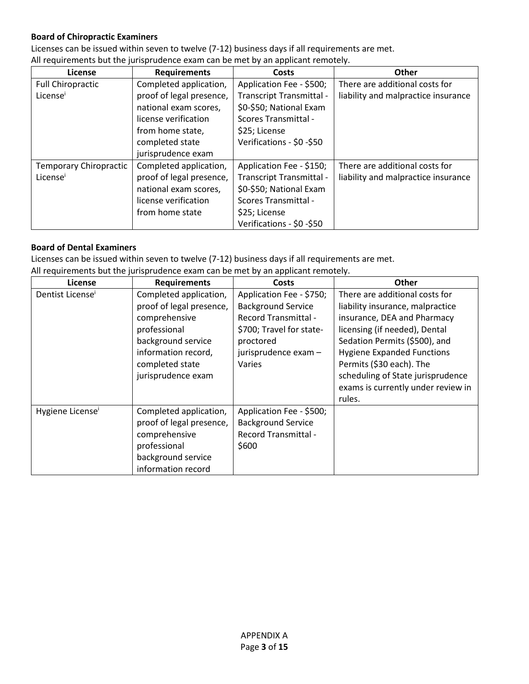#### **Board of Chiropractic Examiners**

Licenses can be issued within seven to twelve (7-12) business days if all requirements are met.

All requirements but the jurisprudence exam can be met by an applicant remotely.

| <b>License</b>           | <b>Requirements</b>      | Costs                       | <b>Other</b>                        |
|--------------------------|--------------------------|-----------------------------|-------------------------------------|
| <b>Full Chiropractic</b> | Completed application,   | Application Fee - \$500;    | There are additional costs for      |
| License                  | proof of legal presence, | Transcript Transmittal -    | liability and malpractice insurance |
|                          | national exam scores,    | \$0-\$50; National Exam     |                                     |
|                          | license verification     | <b>Scores Transmittal -</b> |                                     |
|                          | from home state,         | \$25; License               |                                     |
|                          | completed state          | Verifications - \$0 -\$50   |                                     |
|                          | jurisprudence exam       |                             |                                     |
| Temporary Chiropractic   | Completed application,   | Application Fee - \$150;    | There are additional costs for      |
| License <sup>i</sup>     | proof of legal presence, | Transcript Transmittal -    | liability and malpractice insurance |
|                          | national exam scores,    | \$0-\$50; National Exam     |                                     |
|                          | license verification     | Scores Transmittal -        |                                     |
|                          | from home state          | \$25; License               |                                     |
|                          |                          | Verifications - \$0 -\$50   |                                     |

#### **Board of Dental Examiners**

Licenses can be issued within seven to twelve (7-12) business days if all requirements are met.

All requirements but the jurisprudence exam can be met by an applicant remotely.

| License                      | <b>Requirements</b>      | Costs                       | <b>Other</b>                       |
|------------------------------|--------------------------|-----------------------------|------------------------------------|
| Dentist License <sup>1</sup> | Completed application,   | Application Fee - \$750;    | There are additional costs for     |
|                              | proof of legal presence, | <b>Background Service</b>   | liability insurance, malpractice   |
|                              | comprehensive            | <b>Record Transmittal -</b> | insurance, DEA and Pharmacy        |
|                              | professional             | \$700; Travel for state-    | licensing (if needed), Dental      |
|                              | background service       | proctored                   | Sedation Permits (\$500), and      |
|                              | information record,      | jurisprudence exam -        | <b>Hygiene Expanded Functions</b>  |
|                              | completed state          | Varies                      | Permits (\$30 each). The           |
|                              | jurisprudence exam       |                             | scheduling of State jurisprudence  |
|                              |                          |                             | exams is currently under review in |
|                              |                          |                             | rules.                             |
| Hygiene License <sup>i</sup> | Completed application,   | Application Fee - \$500;    |                                    |
|                              | proof of legal presence, | <b>Background Service</b>   |                                    |
|                              | comprehensive            | <b>Record Transmittal -</b> |                                    |
|                              | professional             | \$600                       |                                    |
|                              | background service       |                             |                                    |
|                              | information record       |                             |                                    |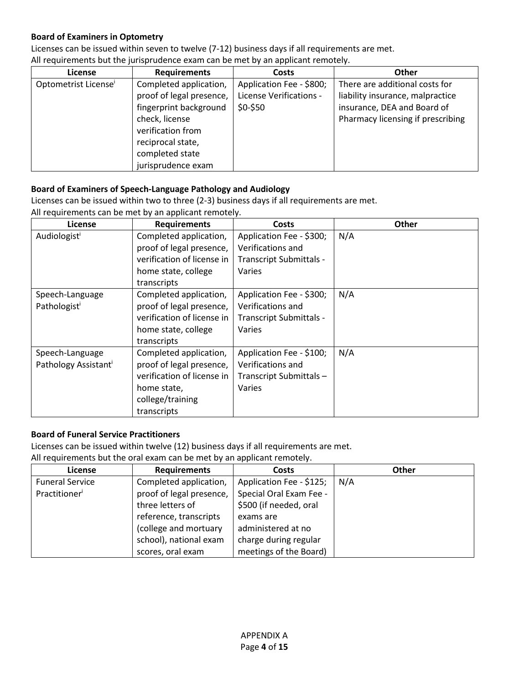#### **Board of Examiners in Optometry**

Licenses can be issued within seven to twelve (7-12) business days if all requirements are met.

All requirements but the jurisprudence exam can be met by an applicant remotely.

| <b>License</b>                   | <b>Requirements</b>      | <b>Costs</b>             | <b>Other</b>                      |
|----------------------------------|--------------------------|--------------------------|-----------------------------------|
| Optometrist License <sup>i</sup> | Completed application,   | Application Fee - \$800; | There are additional costs for    |
|                                  | proof of legal presence, | License Verifications -  | liability insurance, malpractice  |
|                                  | fingerprint background   | \$0-\$50                 | insurance, DEA and Board of       |
|                                  | check, license           |                          | Pharmacy licensing if prescribing |
|                                  | verification from        |                          |                                   |
|                                  | reciprocal state,        |                          |                                   |
|                                  | completed state          |                          |                                   |
|                                  | jurisprudence exam       |                          |                                   |

#### **Board of Examiners of Speech-Language Pathology and Audiology**

Licenses can be issued within two to three (2-3) business days if all requirements are met. All requirements can be met by an applicant remotely.

| <b>License</b>                   | <b>Requirements</b>        | <b>Costs</b>             | <b>Other</b> |
|----------------------------------|----------------------------|--------------------------|--------------|
| Audiologist                      | Completed application,     | Application Fee - \$300; | N/A          |
|                                  | proof of legal presence,   | Verifications and        |              |
|                                  | verification of license in | Transcript Submittals -  |              |
|                                  | home state, college        | Varies                   |              |
|                                  | transcripts                |                          |              |
| Speech-Language                  | Completed application,     | Application Fee - \$300; | N/A          |
| Pathologisti                     | proof of legal presence,   | Verifications and        |              |
|                                  | verification of license in | Transcript Submittals -  |              |
|                                  | home state, college        | Varies                   |              |
|                                  | transcripts                |                          |              |
| Speech-Language                  | Completed application,     | Application Fee - \$100; | N/A          |
| Pathology Assistant <sup>i</sup> | proof of legal presence,   | Verifications and        |              |
|                                  | verification of license in | Transcript Submittals-   |              |
|                                  | home state,                | Varies                   |              |
|                                  | college/training           |                          |              |
|                                  | transcripts                |                          |              |

#### **Board of Funeral Service Practitioners**

Licenses can be issued within twelve (12) business days if all requirements are met.

All requirements but the oral exam can be met by an applicant remotely.

| License                | <b>Requirements</b>      | <b>Costs</b>             | <b>Other</b> |
|------------------------|--------------------------|--------------------------|--------------|
| <b>Funeral Service</b> | Completed application,   | Application Fee - \$125; | N/A          |
| Practitioner           | proof of legal presence, | Special Oral Exam Fee -  |              |
|                        | three letters of         | \$500 (if needed, oral   |              |
|                        | reference, transcripts   | exams are                |              |
|                        | (college and mortuary    | administered at no       |              |
|                        | school), national exam   | charge during regular    |              |
|                        | scores, oral exam        | meetings of the Board)   |              |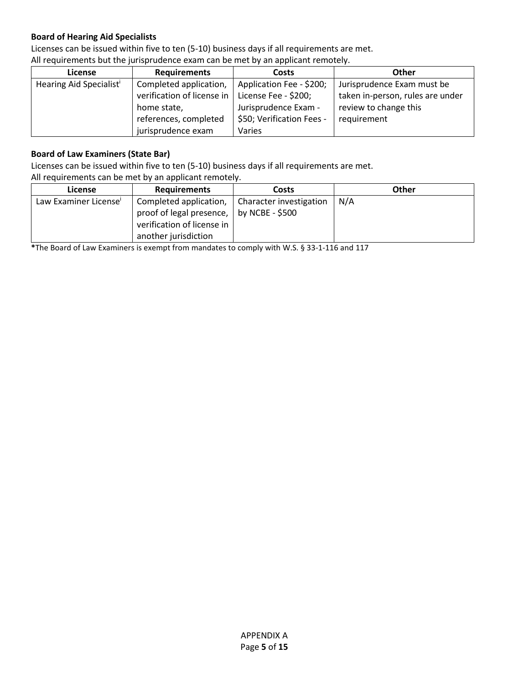#### **Board of Hearing Aid Specialists**

Licenses can be issued within five to ten (5-10) business days if all requirements are met.

| The requirements but the funsionalence exam can be met by an applicant remotely. |                            |                           |                                  |
|----------------------------------------------------------------------------------|----------------------------|---------------------------|----------------------------------|
| License                                                                          | <b>Requirements</b>        | Costs                     | <b>Other</b>                     |
| Hearing Aid Specialist <sup>i</sup>                                              | Completed application,     | Application Fee - \$200;  | Jurisprudence Exam must be       |
|                                                                                  | verification of license in | License Fee - \$200;      | taken in-person, rules are under |
|                                                                                  | home state,                | Jurisprudence Exam -      | review to change this            |
|                                                                                  | references, completed      | \$50; Verification Fees - | requirement                      |
|                                                                                  | jurisprudence exam         | Varies                    |                                  |

All requirements but the jurisprudence exam can be met by an applicant remotely.

#### **Board of Law Examiners (State Bar)**

Licenses can be issued within five to ten (5-10) business days if all requirements are met.

All requirements can be met by an applicant remotely.

| License                           | <b>Requirements</b>        | <b>Costs</b>            | <b>Other</b> |
|-----------------------------------|----------------------------|-------------------------|--------------|
| Law Examiner License <sup>i</sup> | Completed application,     | Character investigation | N/A          |
|                                   | proof of legal presence,   | by NCBE - \$500         |              |
|                                   | verification of license in |                         |              |
|                                   | another jurisdiction       |                         |              |

**\***The Board of Law Examiners is exempt from mandates to comply with W.S. § 33-1-116 and 117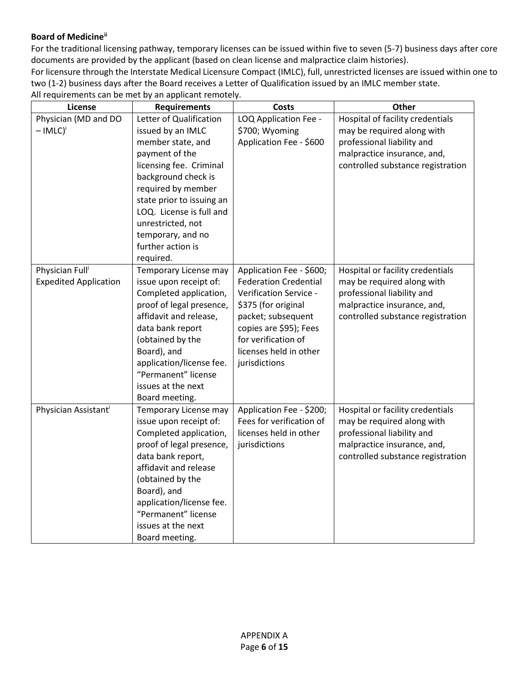#### **Board of Medicine[ii](#page-20-1)**

For the traditional licensing pathway, temporary licenses can be issued within five to seven (5-7) business days after core documents are provided by the applicant (based on clean license and malpractice claim histories).

For licensure through the Interstate Medical Licensure Compact (IMLC), full, unrestricted licenses are issued within one to two (1-2) business days after the Board receives a Letter of Qualification issued by an IMLC member state. All requirements can be met by an applicant remotely.

| License                                                     | <b>Requirements</b>                                                                                                                                                                                                                                                               | <b>Costs</b>                                                                                                                                                                                                                | Other                                                                                                                                                            |
|-------------------------------------------------------------|-----------------------------------------------------------------------------------------------------------------------------------------------------------------------------------------------------------------------------------------------------------------------------------|-----------------------------------------------------------------------------------------------------------------------------------------------------------------------------------------------------------------------------|------------------------------------------------------------------------------------------------------------------------------------------------------------------|
| Physician (MD and DO<br>$-IMLC)^{i}$                        | Letter of Qualification<br>issued by an IMLC<br>member state, and<br>payment of the<br>licensing fee. Criminal                                                                                                                                                                    | LOQ Application Fee -<br>\$700; Wyoming<br>Application Fee - \$600                                                                                                                                                          | Hospital of facility credentials<br>may be required along with<br>professional liability and<br>malpractice insurance, and,<br>controlled substance registration |
|                                                             | background check is<br>required by member<br>state prior to issuing an<br>LOQ. License is full and<br>unrestricted, not<br>temporary, and no<br>further action is<br>required.                                                                                                    |                                                                                                                                                                                                                             |                                                                                                                                                                  |
| Physician Full <sup>i</sup><br><b>Expedited Application</b> | Temporary License may<br>issue upon receipt of:<br>Completed application,<br>proof of legal presence,<br>affidavit and release,<br>data bank report<br>(obtained by the<br>Board), and<br>application/license fee.<br>"Permanent" license<br>issues at the next<br>Board meeting. | Application Fee - \$600;<br><b>Federation Credential</b><br>Verification Service -<br>\$375 (for original<br>packet; subsequent<br>copies are \$95); Fees<br>for verification of<br>licenses held in other<br>jurisdictions | Hospital or facility credentials<br>may be required along with<br>professional liability and<br>malpractice insurance, and,<br>controlled substance registration |
| Physician Assistant <sup>i</sup>                            | Temporary License may<br>issue upon receipt of:<br>Completed application,<br>proof of legal presence,<br>data bank report,<br>affidavit and release<br>(obtained by the<br>Board), and<br>application/license fee.<br>"Permanent" license<br>issues at the next<br>Board meeting. | Application Fee - \$200;<br>Fees for verification of<br>licenses held in other<br>jurisdictions                                                                                                                             | Hospital or facility credentials<br>may be required along with<br>professional liability and<br>malpractice insurance, and,<br>controlled substance registration |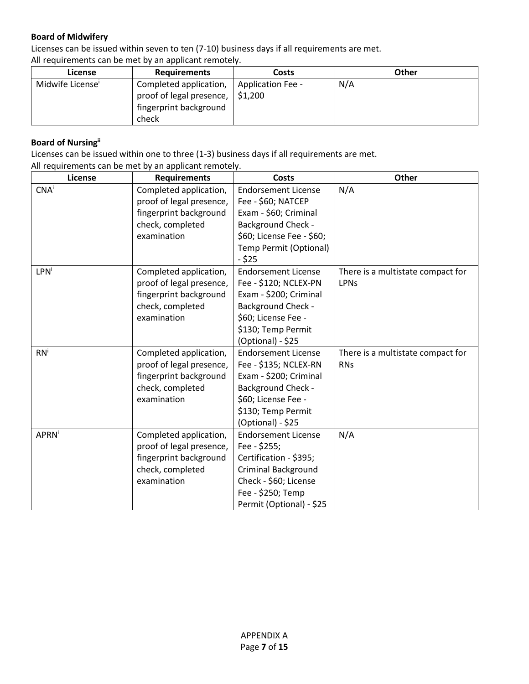#### **Board of Midwifery**

Licenses can be issued within seven to ten (7-10) business days if all requirements are met.

All requirements can be met by an applicant remotely.

| License                      | <b>Requirements</b>                                                                          | Costs             | Other |
|------------------------------|----------------------------------------------------------------------------------------------|-------------------|-------|
| Midwife License <sup>i</sup> | Completed application,<br>proof of legal presence, $\vert$ \$1,200<br>fingerprint background | Application Fee - | N/A   |
|                              | check                                                                                        |                   |       |

#### **Board of Nursingii**

Licenses can be issued within one to three (1-3) business days if all requirements are met. All requirements can be met by an applicant remotely.

| License                 | <b>Requirements</b>      | <b>Costs</b>               | <b>Other</b>                      |
|-------------------------|--------------------------|----------------------------|-----------------------------------|
| CNA <sup>i</sup>        | Completed application,   | <b>Endorsement License</b> | N/A                               |
|                         | proof of legal presence, | Fee - \$60; NATCEP         |                                   |
|                         | fingerprint background   | Exam - \$60; Criminal      |                                   |
|                         | check, completed         | <b>Background Check -</b>  |                                   |
|                         | examination              | \$60; License Fee - \$60;  |                                   |
|                         |                          | Temp Permit (Optional)     |                                   |
|                         |                          | - \$25                     |                                   |
| <b>LPN</b> <sup>i</sup> | Completed application,   | <b>Endorsement License</b> | There is a multistate compact for |
|                         | proof of legal presence, | Fee - \$120; NCLEX-PN      | <b>LPNs</b>                       |
|                         | fingerprint background   | Exam - \$200; Criminal     |                                   |
|                         | check, completed         | <b>Background Check -</b>  |                                   |
|                         | examination              | \$60; License Fee -        |                                   |
|                         |                          | \$130; Temp Permit         |                                   |
|                         |                          | (Optional) - \$25          |                                   |
| $RN^i$                  | Completed application,   | <b>Endorsement License</b> | There is a multistate compact for |
|                         | proof of legal presence, | Fee - \$135; NCLEX-RN      | <b>RNs</b>                        |
|                         | fingerprint background   | Exam - \$200; Criminal     |                                   |
|                         | check, completed         | <b>Background Check -</b>  |                                   |
|                         | examination              | \$60; License Fee -        |                                   |
|                         |                          | \$130; Temp Permit         |                                   |
|                         |                          | (Optional) - \$25          |                                   |
| <b>APRN</b>             | Completed application,   | <b>Endorsement License</b> | N/A                               |
|                         | proof of legal presence, | Fee - \$255;               |                                   |
|                         | fingerprint background   | Certification - \$395;     |                                   |
|                         | check, completed         | <b>Criminal Background</b> |                                   |
|                         | examination              | Check - \$60; License      |                                   |
|                         |                          | Fee - \$250; Temp          |                                   |
|                         |                          | Permit (Optional) - \$25   |                                   |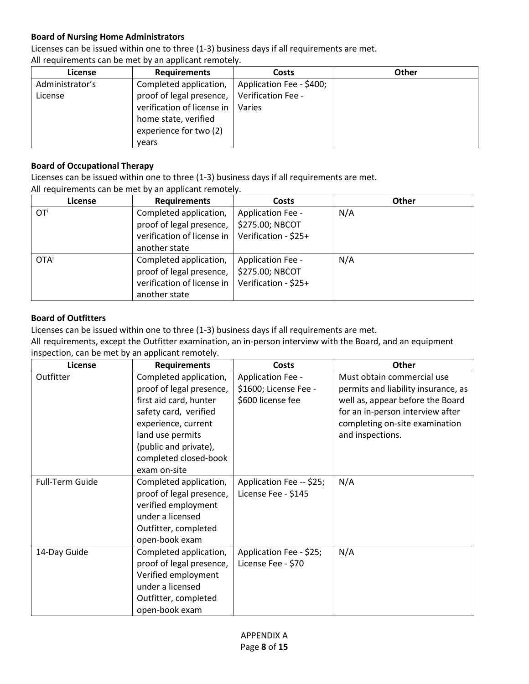#### **Board of Nursing Home Administrators**

Licenses can be issued within one to three (1-3) business days if all requirements are met.

| <b>License</b>  | <b>Requirements</b>        | <b>Costs</b>             | <b>Other</b> |
|-----------------|----------------------------|--------------------------|--------------|
| Administrator's | Completed application,     | Application Fee - \$400; |              |
| Licensei        | proof of legal presence,   | Verification Fee -       |              |
|                 | verification of license in | Varies                   |              |
|                 | home state, verified       |                          |              |
|                 | experience for two (2)     |                          |              |
|                 | vears                      |                          |              |

All requirements can be met by an applicant remotely.

#### **Board of Occupational Therapy**

Licenses can be issued within one to three (1-3) business days if all requirements are met. All requirements can be met by an applicant remotely.

| License                 | <b>Requirements</b>        | <b>Costs</b>         | <b>Other</b> |
|-------------------------|----------------------------|----------------------|--------------|
| OT <sup>i</sup>         | Completed application,     | Application Fee -    | N/A          |
|                         | proof of legal presence,   | \$275.00; NBCOT      |              |
|                         | verification of license in | Verification - \$25+ |              |
|                         | another state              |                      |              |
| <b>OTA</b> <sup>i</sup> | Completed application,     | Application Fee -    | N/A          |
|                         | proof of legal presence,   | \$275.00; NBCOT      |              |
|                         | verification of license in | Verification - \$25+ |              |
|                         | another state              |                      |              |

#### **Board of Outfitters**

Licenses can be issued within one to three (1-3) business days if all requirements are met.

All requirements, except the Outfitter examination, an in-person interview with the Board, and an equipment inspection, can be met by an applicant remotely.

| License                | <b>Requirements</b>      | Costs                    | Other                               |
|------------------------|--------------------------|--------------------------|-------------------------------------|
| Outfitter              | Completed application,   | Application Fee -        | Must obtain commercial use          |
|                        | proof of legal presence, | \$1600; License Fee -    | permits and liability insurance, as |
|                        | first aid card, hunter   | \$600 license fee        | well as, appear before the Board    |
|                        | safety card, verified    |                          | for an in-person interview after    |
|                        | experience, current      |                          | completing on-site examination      |
|                        | land use permits         |                          | and inspections.                    |
|                        | (public and private),    |                          |                                     |
|                        | completed closed-book    |                          |                                     |
|                        | exam on-site             |                          |                                     |
| <b>Full-Term Guide</b> | Completed application,   | Application Fee -- \$25; | N/A                                 |
|                        | proof of legal presence, | License Fee - \$145      |                                     |
|                        | verified employment      |                          |                                     |
|                        | under a licensed         |                          |                                     |
|                        | Outfitter, completed     |                          |                                     |
|                        | open-book exam           |                          |                                     |
| 14-Day Guide           | Completed application,   | Application Fee - \$25;  | N/A                                 |
|                        | proof of legal presence, | License Fee - \$70       |                                     |
|                        | Verified employment      |                          |                                     |
|                        | under a licensed         |                          |                                     |
|                        | Outfitter, completed     |                          |                                     |
|                        | open-book exam           |                          |                                     |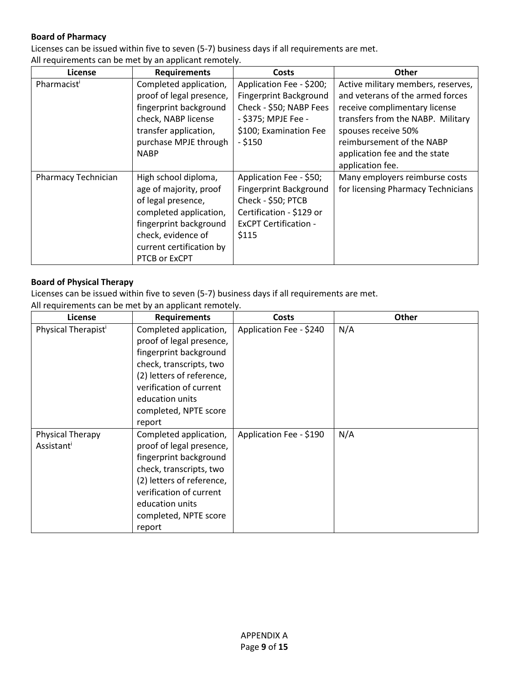#### **Board of Pharmacy**

Licenses can be issued within five to seven (5-7) business days if all requirements are met.

All requirements can be met by an applicant remotely.

| License             | <b>Requirements</b>                                                                                                                                                                         | Costs                                                                                                                                               | Other                                                                                                                                                                                            |
|---------------------|---------------------------------------------------------------------------------------------------------------------------------------------------------------------------------------------|-----------------------------------------------------------------------------------------------------------------------------------------------------|--------------------------------------------------------------------------------------------------------------------------------------------------------------------------------------------------|
| Pharmacist          | Completed application,<br>proof of legal presence,<br>fingerprint background<br>check, NABP license<br>transfer application,<br>purchase MPJE through                                       | Application Fee - \$200;<br><b>Fingerprint Background</b><br>Check - \$50; NABP Fees<br>- \$375; MPJE Fee -<br>\$100; Examination Fee<br>$-$ \$150  | Active military members, reserves,<br>and veterans of the armed forces<br>receive complimentary license<br>transfers from the NABP. Military<br>spouses receive 50%<br>reimbursement of the NABP |
|                     | <b>NABP</b>                                                                                                                                                                                 |                                                                                                                                                     | application fee and the state<br>application fee.                                                                                                                                                |
| Pharmacy Technician | High school diploma,<br>age of majority, proof<br>of legal presence,<br>completed application,<br>fingerprint background<br>check, evidence of<br>current certification by<br>PTCB or ExCPT | Application Fee - \$50;<br><b>Fingerprint Background</b><br>Check - \$50; PTCB<br>Certification - \$129 or<br><b>ExCPT Certification -</b><br>\$115 | Many employers reimburse costs<br>for licensing Pharmacy Technicians                                                                                                                             |

#### **Board of Physical Therapy**

Licenses can be issued within five to seven (5-7) business days if all requirements are met.

| <b>License</b>                  | <b>Requirements</b>                                                                                                                                                                                                   | Costs                   | Other |
|---------------------------------|-----------------------------------------------------------------------------------------------------------------------------------------------------------------------------------------------------------------------|-------------------------|-------|
| Physical Therapist <sup>i</sup> | Completed application,<br>proof of legal presence,<br>fingerprint background<br>check, transcripts, two<br>(2) letters of reference,<br>verification of current<br>education units<br>completed, NPTE score<br>report | Application Fee - \$240 | N/A   |
| Physical Therapy<br>Assistant   | Completed application,<br>proof of legal presence,<br>fingerprint background<br>check, transcripts, two<br>(2) letters of reference,<br>verification of current<br>education units<br>completed, NPTE score<br>report | Application Fee - \$190 | N/A   |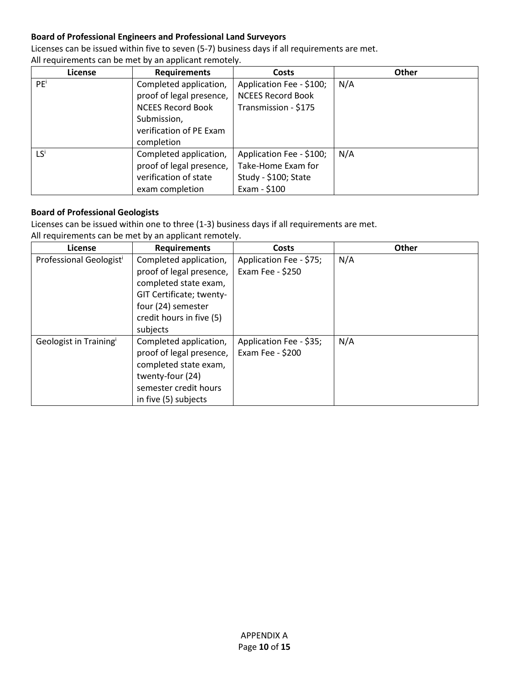#### **Board of Professional Engineers and Professional Land Surveyors**

Licenses can be issued within five to seven (5-7) business days if all requirements are met.

**License Requirements Costs Other** PE<sup>i</sup> Completed application, proof of legal presence, NCEES Record Book Submission, verification of PE Exam completion Application Fee - \$100; NCEES Record Book Transmission - \$175 N/A LS<sup>i</sup> Completed application, proof of legal presence, verification of state exam completion Application Fee - \$100; Take-Home Exam for Study - \$100; State Exam - \$100 N/A

All requirements can be met by an applicant remotely.

#### **Board of Professional Geologists**

Licenses can be issued within one to three (1-3) business days if all requirements are met.

| License                             | <b>Requirements</b>      | Costs                   | <b>Other</b> |
|-------------------------------------|--------------------------|-------------------------|--------------|
| Professional Geologist <sup>i</sup> | Completed application,   | Application Fee - \$75; | N/A          |
|                                     | proof of legal presence, | Exam Fee - \$250        |              |
|                                     | completed state exam,    |                         |              |
|                                     | GIT Certificate; twenty- |                         |              |
|                                     | four (24) semester       |                         |              |
|                                     | credit hours in five (5) |                         |              |
|                                     | subjects                 |                         |              |
| Geologist in Training <sup>i</sup>  | Completed application,   | Application Fee - \$35; | N/A          |
|                                     | proof of legal presence, | Exam Fee - \$200        |              |
|                                     | completed state exam,    |                         |              |
|                                     | twenty-four (24)         |                         |              |
|                                     | semester credit hours    |                         |              |
|                                     | in five (5) subjects     |                         |              |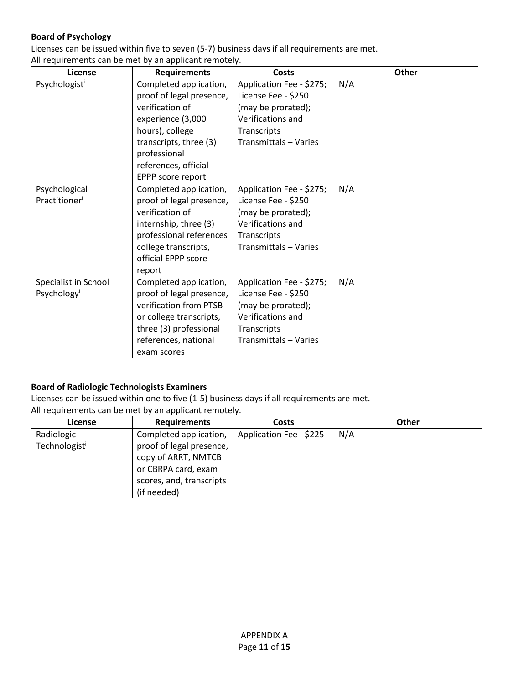#### **Board of Psychology**

Licenses can be issued within five to seven (5-7) business days if all requirements are met.

All requirements can be met by an applicant remotely.

| License                 | <b>Requirements</b>      | Costs                    | Other |
|-------------------------|--------------------------|--------------------------|-------|
| Psychologisti           | Completed application,   | Application Fee - \$275; | N/A   |
|                         | proof of legal presence, | License Fee - \$250      |       |
|                         | verification of          | (may be prorated);       |       |
|                         | experience (3,000        | Verifications and        |       |
|                         | hours), college          | Transcripts              |       |
|                         | transcripts, three (3)   | Transmittals - Varies    |       |
|                         | professional             |                          |       |
|                         | references, official     |                          |       |
|                         | EPPP score report        |                          |       |
| Psychological           | Completed application,   | Application Fee - \$275; | N/A   |
| Practitioner            | proof of legal presence, | License Fee - \$250      |       |
|                         | verification of          | (may be prorated);       |       |
|                         | internship, three (3)    | Verifications and        |       |
|                         | professional references  | Transcripts              |       |
|                         | college transcripts,     | Transmittals - Varies    |       |
|                         | official EPPP score      |                          |       |
|                         | report                   |                          |       |
| Specialist in School    | Completed application,   | Application Fee - \$275; | N/A   |
| Psychology <sup>i</sup> | proof of legal presence, | License Fee - \$250      |       |
|                         | verification from PTSB   | (may be prorated);       |       |
|                         | or college transcripts,  | Verifications and        |       |
|                         | three (3) professional   | Transcripts              |       |
|                         | references, national     | Transmittals - Varies    |       |
|                         | exam scores              |                          |       |

#### **Board of Radiologic Technologists Examiners**

Licenses can be issued within one to five (1-5) business days if all requirements are met.

| <b>License</b>            | <b>Requirements</b>      | <b>Costs</b>            | Other |
|---------------------------|--------------------------|-------------------------|-------|
| Radiologic                | Completed application,   | Application Fee - \$225 | N/A   |
| Technologist <sup>i</sup> | proof of legal presence, |                         |       |
|                           | copy of ARRT, NMTCB      |                         |       |
|                           | or CBRPA card, exam      |                         |       |
|                           | scores, and, transcripts |                         |       |
|                           | (if needed)              |                         |       |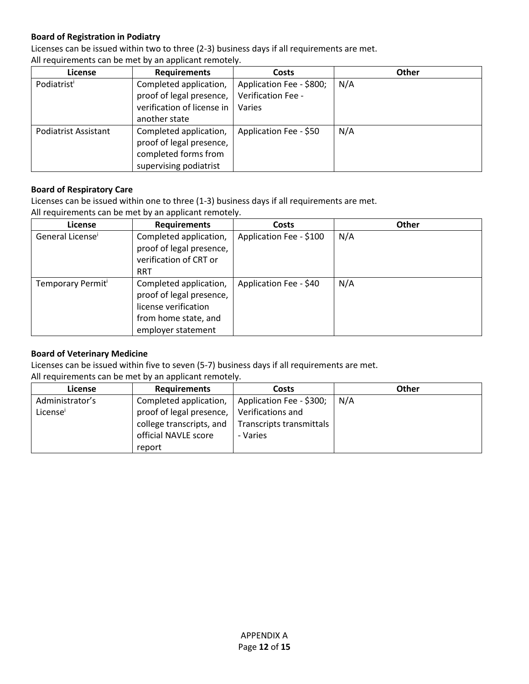#### **Board of Registration in Podiatry**

Licenses can be issued within two to three (2-3) business days if all requirements are met.

| <b>License</b>              | <b>Requirements</b>        | Costs                    | <b>Other</b> |
|-----------------------------|----------------------------|--------------------------|--------------|
| Podiatrist                  | Completed application,     | Application Fee - \$800; | N/A          |
|                             | proof of legal presence,   | Verification Fee -       |              |
|                             | verification of license in | Varies                   |              |
|                             | another state              |                          |              |
| <b>Podiatrist Assistant</b> | Completed application,     | Application Fee - \$50   | N/A          |
|                             | proof of legal presence,   |                          |              |
|                             | completed forms from       |                          |              |
|                             | supervising podiatrist     |                          |              |

All requirements can be met by an applicant remotely.

#### **Board of Respiratory Care**

Licenses can be issued within one to three (1-3) business days if all requirements are met.

|  |  | All requirements can be met by an applicant remotely. |  |  |  |  |  |
|--|--|-------------------------------------------------------|--|--|--|--|--|
|--|--|-------------------------------------------------------|--|--|--|--|--|

| <b>License</b>                | <b>Requirements</b>                                                                                                      | <b>Costs</b>            | <b>Other</b> |
|-------------------------------|--------------------------------------------------------------------------------------------------------------------------|-------------------------|--------------|
| General License <sup>i</sup>  | Completed application,<br>proof of legal presence,<br>verification of CRT or<br><b>RRT</b>                               | Application Fee - \$100 | N/A          |
| Temporary Permit <sup>i</sup> | Completed application,<br>proof of legal presence,<br>license verification<br>from home state, and<br>employer statement | Application Fee - \$40  | N/A          |

#### **Board of Veterinary Medicine**

Licenses can be issued within five to seven (5-7) business days if all requirements are met.

| <b>License</b>       | <b>Requirements</b>      | Costs                    | Other |
|----------------------|--------------------------|--------------------------|-------|
| Administrator's      | Completed application,   | Application Fee - \$300; | N/A   |
| License <sup>1</sup> | proof of legal presence, | Verifications and        |       |
|                      | college transcripts, and | Transcripts transmittals |       |
|                      | official NAVLE score     | - Varies                 |       |
|                      | report                   |                          |       |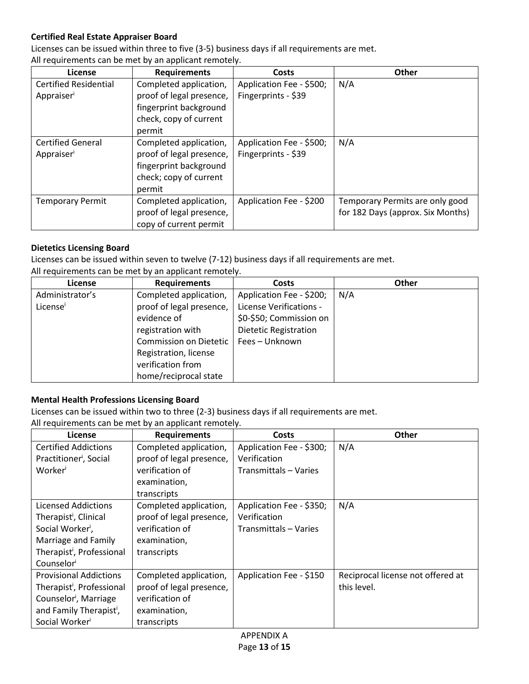#### **Certified Real Estate Appraiser Board**

Licenses can be issued within three to five (3-5) business days if all requirements are met.

All requirements can be met by an applicant remotely.

| License                      | <b>Requirements</b>      | <b>Costs</b>             | <b>Other</b>                      |
|------------------------------|--------------------------|--------------------------|-----------------------------------|
| <b>Certified Residential</b> | Completed application,   | Application Fee - \$500; | N/A                               |
| Appraiser                    | proof of legal presence, | Fingerprints - \$39      |                                   |
|                              | fingerprint background   |                          |                                   |
|                              | check, copy of current   |                          |                                   |
|                              | permit                   |                          |                                   |
| <b>Certified General</b>     | Completed application,   | Application Fee - \$500; | N/A                               |
| Appraiser                    | proof of legal presence, | Fingerprints - \$39      |                                   |
|                              | fingerprint background   |                          |                                   |
|                              | check; copy of current   |                          |                                   |
|                              | permit                   |                          |                                   |
| <b>Temporary Permit</b>      | Completed application,   | Application Fee - \$200  | Temporary Permits are only good   |
|                              | proof of legal presence, |                          | for 182 Days (approx. Six Months) |
|                              | copy of current permit   |                          |                                   |

#### **Dietetics Licensing Board**

Licenses can be issued within seven to twelve (7-12) business days if all requirements are met.

| All requirements can be met by an applicant remotely. |  |  |
|-------------------------------------------------------|--|--|
|                                                       |  |  |

| License         | <b>Requirements</b>      | <b>Costs</b>                 | Other |
|-----------------|--------------------------|------------------------------|-------|
| Administrator's | Completed application,   | Application Fee - \$200;     | N/A   |
| License         | proof of legal presence, | License Verifications -      |       |
|                 | evidence of              | \$0-\$50; Commission on      |       |
|                 | registration with        | <b>Dietetic Registration</b> |       |
|                 | Commission on Dietetic   | Fees - Unknown               |       |
|                 | Registration, license    |                              |       |
|                 | verification from        |                              |       |
|                 | home/reciprocal state    |                              |       |

#### **Mental Health Professions Licensing Board**

Licenses can be issued within two to three (2-3) business days if all requirements are met. All requirements can be met by an applicant remotely.

| License                               | <b>Requirements</b>      | Costs                    | <b>Other</b>                      |
|---------------------------------------|--------------------------|--------------------------|-----------------------------------|
| <b>Certified Addictions</b>           | Completed application,   | Application Fee - \$300; | N/A                               |
| Practitioner <sup>i</sup> , Social    | proof of legal presence, | Verification             |                                   |
| Worker                                | verification of          | Transmittals - Varies    |                                   |
|                                       | examination,             |                          |                                   |
|                                       | transcripts              |                          |                                   |
| <b>Licensed Addictions</b>            | Completed application,   | Application Fee - \$350; | N/A                               |
| Therapist <sup>i</sup> , Clinical     | proof of legal presence, | Verification             |                                   |
| Social Worker',                       | verification of          | Transmittals – Varies    |                                   |
| Marriage and Family                   | examination,             |                          |                                   |
| Therapist <sup>i</sup> , Professional | transcripts              |                          |                                   |
| Counselor                             |                          |                          |                                   |
| <b>Provisional Addictions</b>         | Completed application,   | Application Fee - \$150  | Reciprocal license not offered at |
| Therapist <sup>i</sup> , Professional | proof of legal presence, |                          | this level.                       |
| Counselor <sup>i</sup> , Marriage     | verification of          |                          |                                   |
| and Family Therapist <sup>i</sup> ,   | examination,             |                          |                                   |
| Social Worker <sup>i</sup>            | transcripts              |                          |                                   |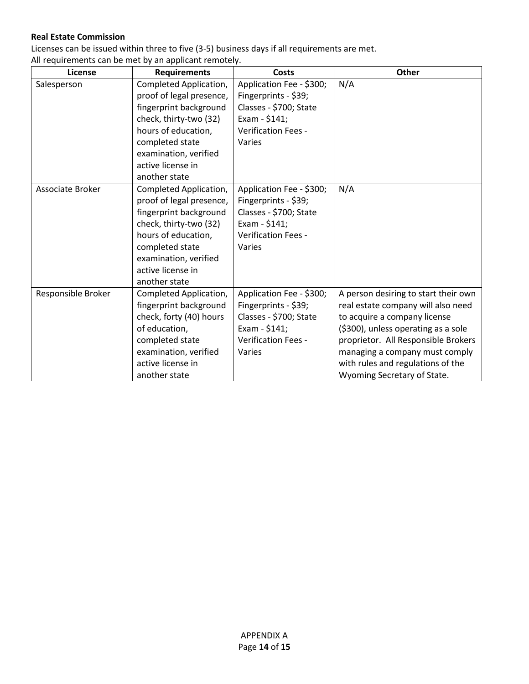#### **Real Estate Commission**

Licenses can be issued within three to five (3-5) business days if all requirements are met.

| License            | <b>Requirements</b>      | <b>Costs</b>               | Other                                |
|--------------------|--------------------------|----------------------------|--------------------------------------|
| Salesperson        | Completed Application,   | Application Fee - \$300;   | N/A                                  |
|                    | proof of legal presence, | Fingerprints - \$39;       |                                      |
|                    | fingerprint background   | Classes - \$700; State     |                                      |
|                    | check, thirty-two (32)   | Exam - \$141;              |                                      |
|                    | hours of education,      | Verification Fees -        |                                      |
|                    | completed state          | Varies                     |                                      |
|                    | examination, verified    |                            |                                      |
|                    | active license in        |                            |                                      |
|                    | another state            |                            |                                      |
| Associate Broker   | Completed Application,   | Application Fee - \$300;   | N/A                                  |
|                    | proof of legal presence, | Fingerprints - \$39;       |                                      |
|                    | fingerprint background   | Classes - \$700; State     |                                      |
|                    | check, thirty-two (32)   | Exam - \$141;              |                                      |
|                    | hours of education,      | Verification Fees -        |                                      |
|                    | completed state          | Varies                     |                                      |
|                    | examination, verified    |                            |                                      |
|                    | active license in        |                            |                                      |
|                    | another state            |                            |                                      |
| Responsible Broker | Completed Application,   | Application Fee - \$300;   | A person desiring to start their own |
|                    | fingerprint background   | Fingerprints - \$39;       | real estate company will also need   |
|                    | check, forty (40) hours  | Classes - \$700; State     | to acquire a company license         |
|                    | of education,            | Exam - \$141;              | (\$300), unless operating as a sole  |
|                    | completed state          | <b>Verification Fees -</b> | proprietor. All Responsible Brokers  |
|                    | examination, verified    | Varies                     | managing a company must comply       |
|                    | active license in        |                            | with rules and regulations of the    |
|                    | another state            |                            | Wyoming Secretary of State.          |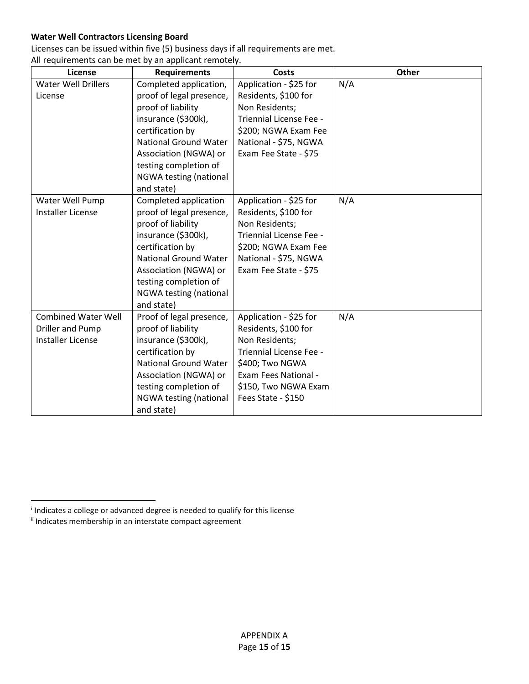#### **Water Well Contractors Licensing Board**

Licenses can be issued within five (5) business days if all requirements are met.

All requirements can be met by an applicant remotely.

| License                                                                    | <b>Requirements</b>                                                                                                                                                                                                                           | <b>Costs</b>                                                                                                                                                                         | Other |
|----------------------------------------------------------------------------|-----------------------------------------------------------------------------------------------------------------------------------------------------------------------------------------------------------------------------------------------|--------------------------------------------------------------------------------------------------------------------------------------------------------------------------------------|-------|
| <b>Water Well Drillers</b><br>License                                      | Completed application,<br>proof of legal presence,<br>proof of liability<br>insurance (\$300k),<br>certification by<br><b>National Ground Water</b><br>Association (NGWA) or<br>testing completion of<br>NGWA testing (national<br>and state) | Application - \$25 for<br>Residents, \$100 for<br>Non Residents;<br>Triennial License Fee -<br>\$200; NGWA Exam Fee<br>National - \$75, NGWA<br>Exam Fee State - \$75                | N/A   |
| Water Well Pump<br><b>Installer License</b>                                | Completed application<br>proof of legal presence,<br>proof of liability<br>insurance (\$300k),<br>certification by<br><b>National Ground Water</b><br>Association (NGWA) or<br>testing completion of<br>NGWA testing (national<br>and state)  | Application - \$25 for<br>Residents, \$100 for<br>Non Residents;<br>Triennial License Fee -<br>\$200; NGWA Exam Fee<br>National - \$75, NGWA<br>Exam Fee State - \$75                | N/A   |
| <b>Combined Water Well</b><br>Driller and Pump<br><b>Installer License</b> | Proof of legal presence,<br>proof of liability<br>insurance (\$300k),<br>certification by<br><b>National Ground Water</b><br>Association (NGWA) or<br>testing completion of<br>NGWA testing (national<br>and state)                           | Application - \$25 for<br>Residents, \$100 for<br>Non Residents;<br>Triennial License Fee -<br>\$400; Two NGWA<br>Exam Fees National -<br>\$150, Two NGWA Exam<br>Fees State - \$150 | N/A   |

 $\overline{\phantom{a}}$ 

<sup>i</sup> Indicates a college or advanced degree is needed to qualify for this license

<span id="page-20-1"></span><span id="page-20-0"></span>ii Indicates membership in an interstate compact agreement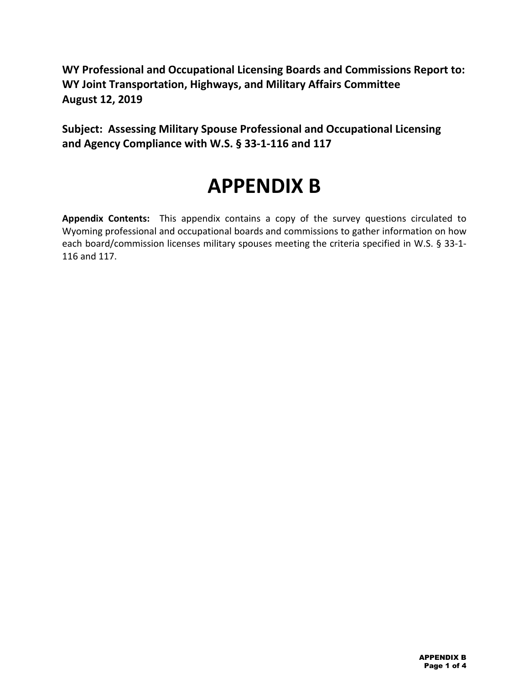**WY Professional and Occupational Licensing Boards and Commissions Report to: WY Joint Transportation, Highways, and Military Affairs Committee August 12, 2019**

**Subject: Assessing Military Spouse Professional and Occupational Licensing and Agency Compliance with W.S. § 33-1-116 and 117**

# **APPENDIX B**

**Appendix Contents:** This appendix contains a copy of the survey questions circulated to Wyoming professional and occupational boards and commissions to gather information on how each board/commission licenses military spouses meeting the criteria specified in W.S. § 33-1- 116 and 117.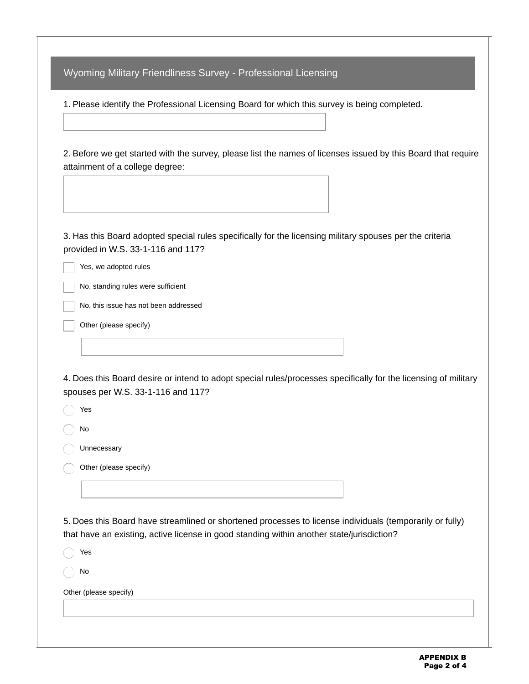Wyoming Military Friendliness Survey - Professional Licensing

1. Please identify the Professional Licensing Board for which this survey is being completed.

2. Before we get started with the survey, please list the names of licenses issued by this Board that require attainment of a college degree:

3. Has this Board adopted special rules specifically for the licensing military spouses per the criteria provided in W.S. 33-1-116 and 117?

Yes, we adopted rules

No, standing rules were sufficient

No, this issue has not been addressed

Other (please specify)

4. Does this Board desire or intend to adopt special rules/processes specifically for the licensing of military spouses per W.S. 33-1-116 and 117?

Yes No Unnecessary Other (please specify)

5. Does this Board have streamlined or shortened processes to license individuals (temporarily or fully) that have an existing, active license in good standing within another state/jurisdiction?

Yes

No

Other (please specify)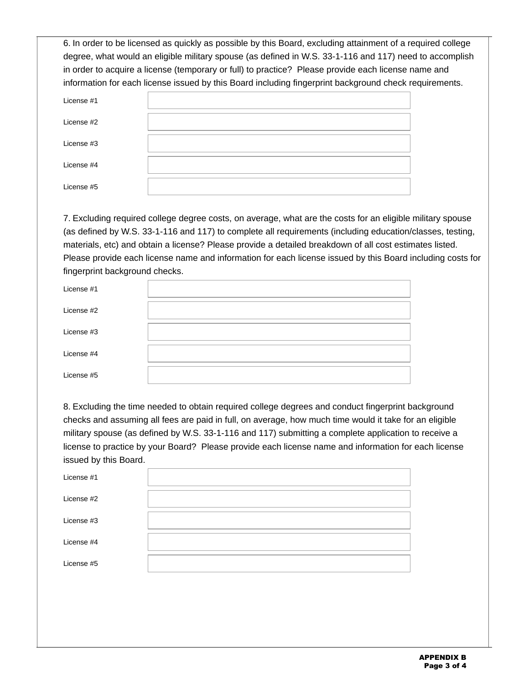6. In order to be licensed as quickly as possible by this Board, excluding attainment of a required college degree, what would an eligible military spouse (as defined in W.S. 33-1-116 and 117) need to accomplish in order to acquire a license (temporary or full) to practice? Please provide each license name and information for each license issued by this Board including fingerprint background check requirements.

| License #1 |  |
|------------|--|
| License #2 |  |
| License #3 |  |
| License #4 |  |
| License #5 |  |

7. Excluding required college degree costs, on average, what are the costs for an eligible military spouse (as defined by W.S. 33-1-116 and 117) to complete all requirements (including education/classes, testing, materials, etc) and obtain a license? Please provide a detailed breakdown of all cost estimates listed. Please provide each license name and information for each license issued by this Board including costs for fingerprint background checks.

| License $#1$ |  |
|--------------|--|
| License #2   |  |
| License $#3$ |  |
| License #4   |  |
| License #5   |  |

8. Excluding the time needed to obtain required college degrees and conduct fingerprint background checks and assuming all fees are paid in full, on average, how much time would it take for an eligible military spouse (as defined by W.S. 33-1-116 and 117) submitting a complete application to receive a license to practice by your Board? Please provide each license name and information for each license issued by this Board.

| License $#1$ |  |
|--------------|--|
| License #2   |  |
| License $#3$ |  |
| License #4   |  |
| License #5   |  |
|              |  |